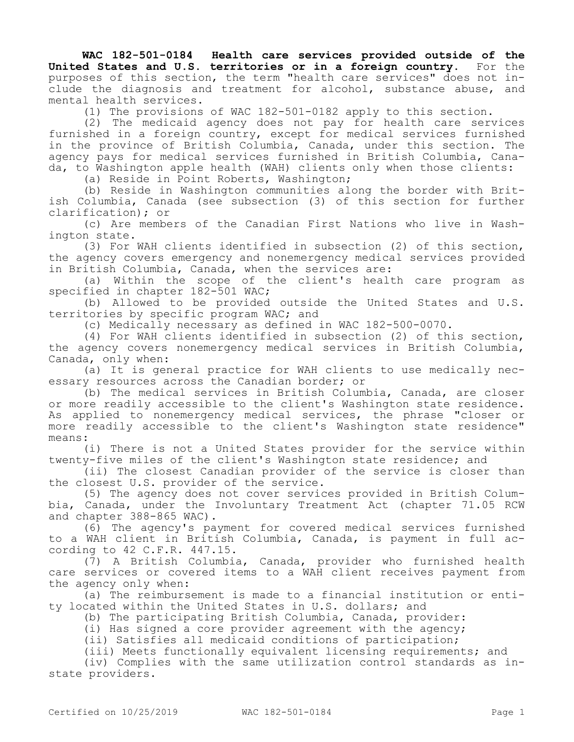**WAC 182-501-0184 Health care services provided outside of the United States and U.S. territories or in a foreign country.** For the purposes of this section, the term "health care services" does not include the diagnosis and treatment for alcohol, substance abuse, and mental health services.

(1) The provisions of WAC 182-501-0182 apply to this section.

(2) The medicaid agency does not pay for health care services furnished in a foreign country, except for medical services furnished in the province of British Columbia, Canada, under this section. The agency pays for medical services furnished in British Columbia, Canada, to Washington apple health (WAH) clients only when those clients:

(a) Reside in Point Roberts, Washington;

(b) Reside in Washington communities along the border with British Columbia, Canada (see subsection (3) of this section for further clarification); or

(c) Are members of the Canadian First Nations who live in Washington state.

(3) For WAH clients identified in subsection (2) of this section, the agency covers emergency and nonemergency medical services provided in British Columbia, Canada, when the services are:

(a) Within the scope of the client's health care program as specified in chapter 182-501 WAC;

(b) Allowed to be provided outside the United States and U.S. territories by specific program WAC; and

(c) Medically necessary as defined in WAC 182-500-0070.

(4) For WAH clients identified in subsection (2) of this section, the agency covers nonemergency medical services in British Columbia, Canada, only when:

(a) It is general practice for WAH clients to use medically necessary resources across the Canadian border; or

(b) The medical services in British Columbia, Canada, are closer or more readily accessible to the client's Washington state residence. As applied to nonemergency medical services, the phrase "closer or more readily accessible to the client's Washington state residence" means:

(i) There is not a United States provider for the service within twenty-five miles of the client's Washington state residence; and

(ii) The closest Canadian provider of the service is closer than the closest U.S. provider of the service.

(5) The agency does not cover services provided in British Columbia, Canada, under the Involuntary Treatment Act (chapter 71.05 RCW and chapter 388-865 WAC).

(6) The agency's payment for covered medical services furnished to a WAH client in British Columbia, Canada, is payment in full according to 42 C.F.R. 447.15.

(7) A British Columbia, Canada, provider who furnished health care services or covered items to a WAH client receives payment from the agency only when:

(a) The reimbursement is made to a financial institution or entity located within the United States in U.S. dollars; and

(b) The participating British Columbia, Canada, provider:

(i) Has signed a core provider agreement with the agency;

(ii) Satisfies all medicaid conditions of participation;

(iii) Meets functionally equivalent licensing requirements; and

(iv) Complies with the same utilization control standards as instate providers.